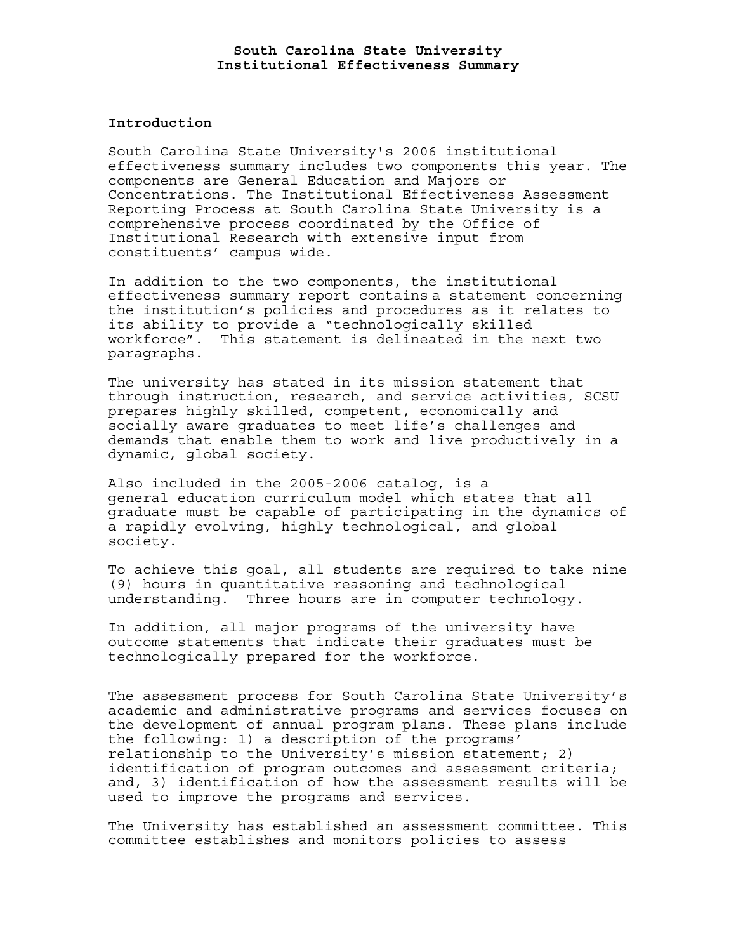### **Introduction**

South Carolina State University's 2006 institutional effectiveness summary includes two components this year. The components are General Education and Majors or Concentrations. The Institutional Effectiveness Assessment Reporting Process at South Carolina State University is a comprehensive process coordinated by the Office of Institutional Research with extensive input from constituents' campus wide.

In addition to the two components, the institutional effectiveness summary report contains a statement concerning the institution's policies and procedures as it relates to its ability to provide a "technologically skilled workforce". This statement is delineated in the next two paragraphs.

The university has stated in its mission statement that through instruction, research, and service activities, SCSU prepares highly skilled, competent, economically and socially aware graduates to meet life's challenges and demands that enable them to work and live productively in a dynamic, global society.

Also included in the 2005-2006 catalog, is a general education curriculum model which states that all graduate must be capable of participating in the dynamics of a rapidly evolving, highly technological, and global society.

To achieve this goal, all students are required to take nine (9) hours in quantitative reasoning and technological understanding. Three hours are in computer technology.

In addition, all major programs of the university have outcome statements that indicate their graduates must be technologically prepared for the workforce.

The assessment process for South Carolina State University's academic and administrative programs and services focuses on the development of annual program plans. These plans include the following: 1) a description of the programs' relationship to the University's mission statement; 2) identification of program outcomes and assessment criteria; and, 3) identification of how the assessment results will be used to improve the programs and services.

The University has established an assessment committee. This committee establishes and monitors policies to assess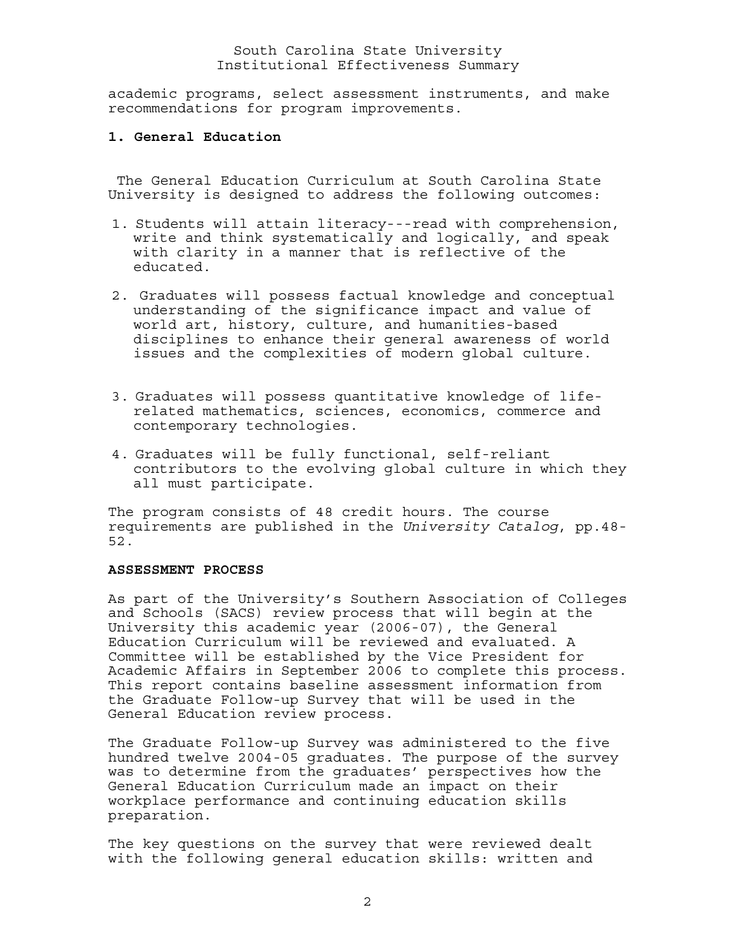academic programs, select assessment instruments, and make recommendations for program improvements.

## **1. General Education**

 The General Education Curriculum at South Carolina State University is designed to address the following outcomes:

- 1. Students will attain literacy---read with comprehension, write and think systematically and logically, and speak with clarity in a manner that is reflective of the educated.
- 2. Graduates will possess factual knowledge and conceptual understanding of the significance impact and value of world art, history, culture, and humanities-based disciplines to enhance their general awareness of world issues and the complexities of modern global culture.
- 3. Graduates will possess quantitative knowledge of liferelated mathematics, sciences, economics, commerce and contemporary technologies.
- 4. Graduates will be fully functional, self-reliant contributors to the evolving global culture in which they all must participate.

The program consists of 48 credit hours. The course requirements are published in the *University Catalog*, pp.48- 52.

# **ASSESSMENT PROCESS**

As part of the University's Southern Association of Colleges and Schools (SACS) review process that will begin at the University this academic year (2006-07), the General Education Curriculum will be reviewed and evaluated. A Committee will be established by the Vice President for Academic Affairs in September 2006 to complete this process. This report contains baseline assessment information from the Graduate Follow-up Survey that will be used in the General Education review process.

The Graduate Follow-up Survey was administered to the five hundred twelve 2004-05 graduates. The purpose of the survey was to determine from the graduates' perspectives how the General Education Curriculum made an impact on their workplace performance and continuing education skills preparation.

The key questions on the survey that were reviewed dealt with the following general education skills: written and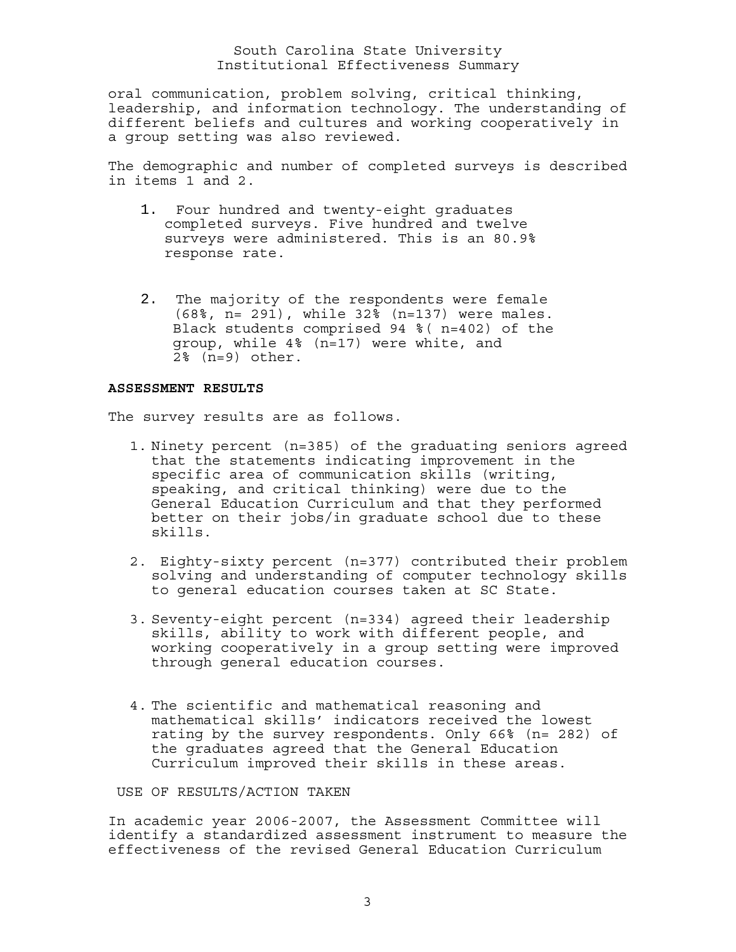oral communication, problem solving, critical thinking, leadership, and information technology. The understanding of different beliefs and cultures and working cooperatively in a group setting was also reviewed.

The demographic and number of completed surveys is described in items 1 and 2.

- 1. Four hundred and twenty-eight graduates completed surveys. Five hundred and twelve surveys were administered. This is an 80.9% response rate.
- 2. The majority of the respondents were female (68%, n= 291), while 32% (n=137) were males. Black students comprised 94 %( n=402) of the group, while 4% (n=17) were white, and 2% (n=9) other.

#### **ASSESSMENT RESULTS**

The survey results are as follows.

- 1. Ninety percent (n=385) of the graduating seniors agreed that the statements indicating improvement in the specific area of communication skills (writing, speaking, and critical thinking) were due to the General Education Curriculum and that they performed better on their jobs/in graduate school due to these skills.
- 2. Eighty-sixty percent (n=377) contributed their problem solving and understanding of computer technology skills to general education courses taken at SC State.
- 3. Seventy-eight percent (n=334) agreed their leadership skills, ability to work with different people, and working cooperatively in a group setting were improved through general education courses.
- 4. The scientific and mathematical reasoning and mathematical skills' indicators received the lowest rating by the survey respondents. Only 66% (n= 282) of the graduates agreed that the General Education Curriculum improved their skills in these areas.

USE OF RESULTS/ACTION TAKEN

In academic year 2006-2007, the Assessment Committee will identify a standardized assessment instrument to measure the effectiveness of the revised General Education Curriculum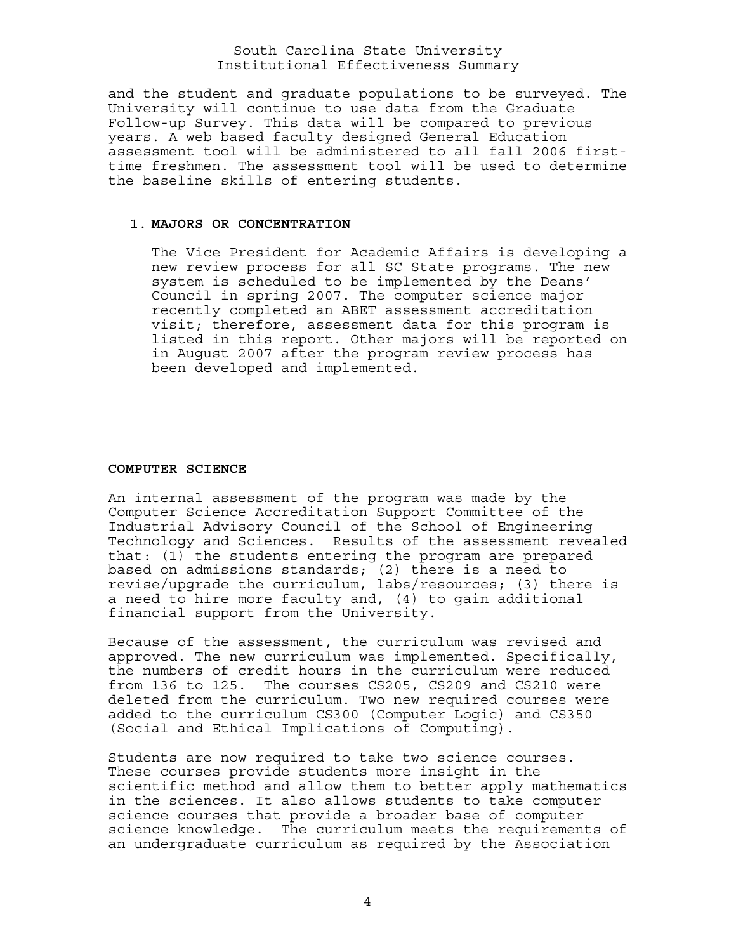and the student and graduate populations to be surveyed. The University will continue to use data from the Graduate Follow-up Survey. This data will be compared to previous years. A web based faculty designed General Education assessment tool will be administered to all fall 2006 firsttime freshmen. The assessment tool will be used to determine the baseline skills of entering students.

#### 1. **MAJORS OR CONCENTRATION**

The Vice President for Academic Affairs is developing a new review process for all SC State programs. The new system is scheduled to be implemented by the Deans' Council in spring 2007. The computer science major recently completed an ABET assessment accreditation visit; therefore, assessment data for this program is listed in this report. Other majors will be reported on in August 2007 after the program review process has been developed and implemented.

# **COMPUTER SCIENCE**

An internal assessment of the program was made by the Computer Science Accreditation Support Committee of the Industrial Advisory Council of the School of Engineering Technology and Sciences. Results of the assessment revealed that: (1) the students entering the program are prepared based on admissions standards; (2) there is a need to revise/upgrade the curriculum, labs/resources; (3) there is a need to hire more faculty and, (4) to gain additional financial support from the University.

Because of the assessment, the curriculum was revised and approved. The new curriculum was implemented. Specifically, the numbers of credit hours in the curriculum were reduced from 136 to 125. The courses CS205, CS209 and CS210 were deleted from the curriculum. Two new required courses were added to the curriculum CS300 (Computer Logic) and CS350 (Social and Ethical Implications of Computing).

Students are now required to take two science courses. These courses provide students more insight in the scientific method and allow them to better apply mathematics in the sciences. It also allows students to take computer science courses that provide a broader base of computer science knowledge. The curriculum meets the requirements of an undergraduate curriculum as required by the Association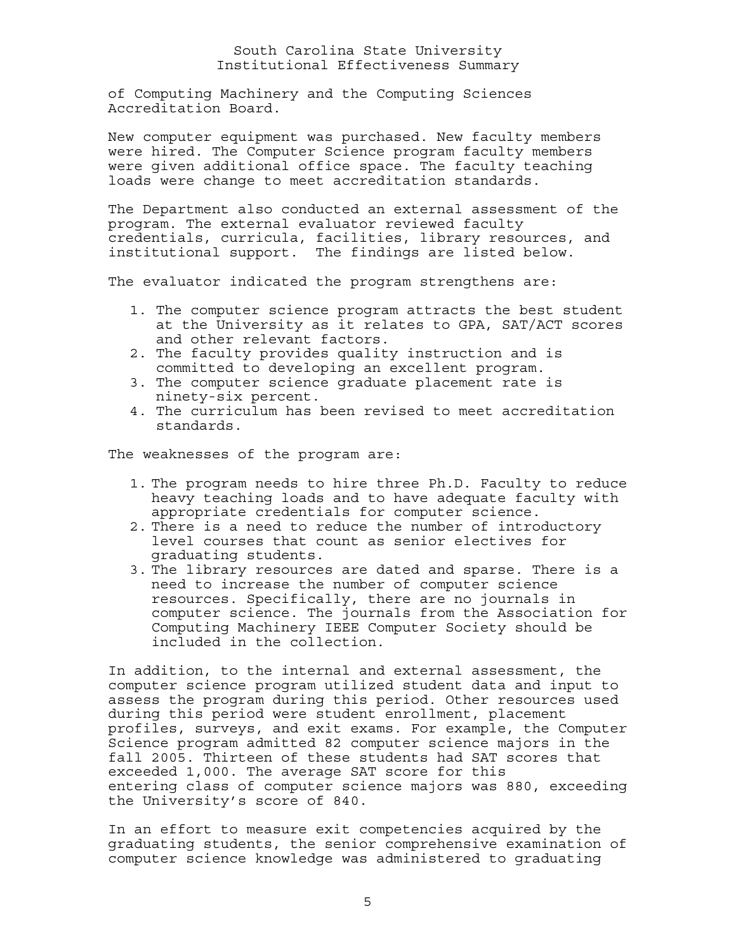of Computing Machinery and the Computing Sciences Accreditation Board.

New computer equipment was purchased. New faculty members were hired. The Computer Science program faculty members were given additional office space. The faculty teaching loads were change to meet accreditation standards.

The Department also conducted an external assessment of the program. The external evaluator reviewed faculty credentials, curricula, facilities, library resources, and institutional support. The findings are listed below.

The evaluator indicated the program strengthens are:

- 1. The computer science program attracts the best student at the University as it relates to GPA, SAT/ACT scores and other relevant factors.
- 2. The faculty provides quality instruction and is committed to developing an excellent program.
- 3. The computer science graduate placement rate is ninety-six percent.
- 4. The curriculum has been revised to meet accreditation standards.

The weaknesses of the program are:

- 1. The program needs to hire three Ph.D. Faculty to reduce heavy teaching loads and to have adequate faculty with appropriate credentials for computer science.
- 2. There is a need to reduce the number of introductory level courses that count as senior electives for graduating students.
- 3. The library resources are dated and sparse. There is a need to increase the number of computer science resources. Specifically, there are no journals in computer science. The journals from the Association for Computing Machinery IEEE Computer Society should be included in the collection.

In addition, to the internal and external assessment, the computer science program utilized student data and input to assess the program during this period. Other resources used during this period were student enrollment, placement profiles, surveys, and exit exams. For example, the Computer Science program admitted 82 computer science majors in the fall 2005. Thirteen of these students had SAT scores that exceeded 1,000. The average SAT score for this entering class of computer science majors was 880, exceeding the University's score of 840.

In an effort to measure exit competencies acquired by the graduating students, the senior comprehensive examination of computer science knowledge was administered to graduating